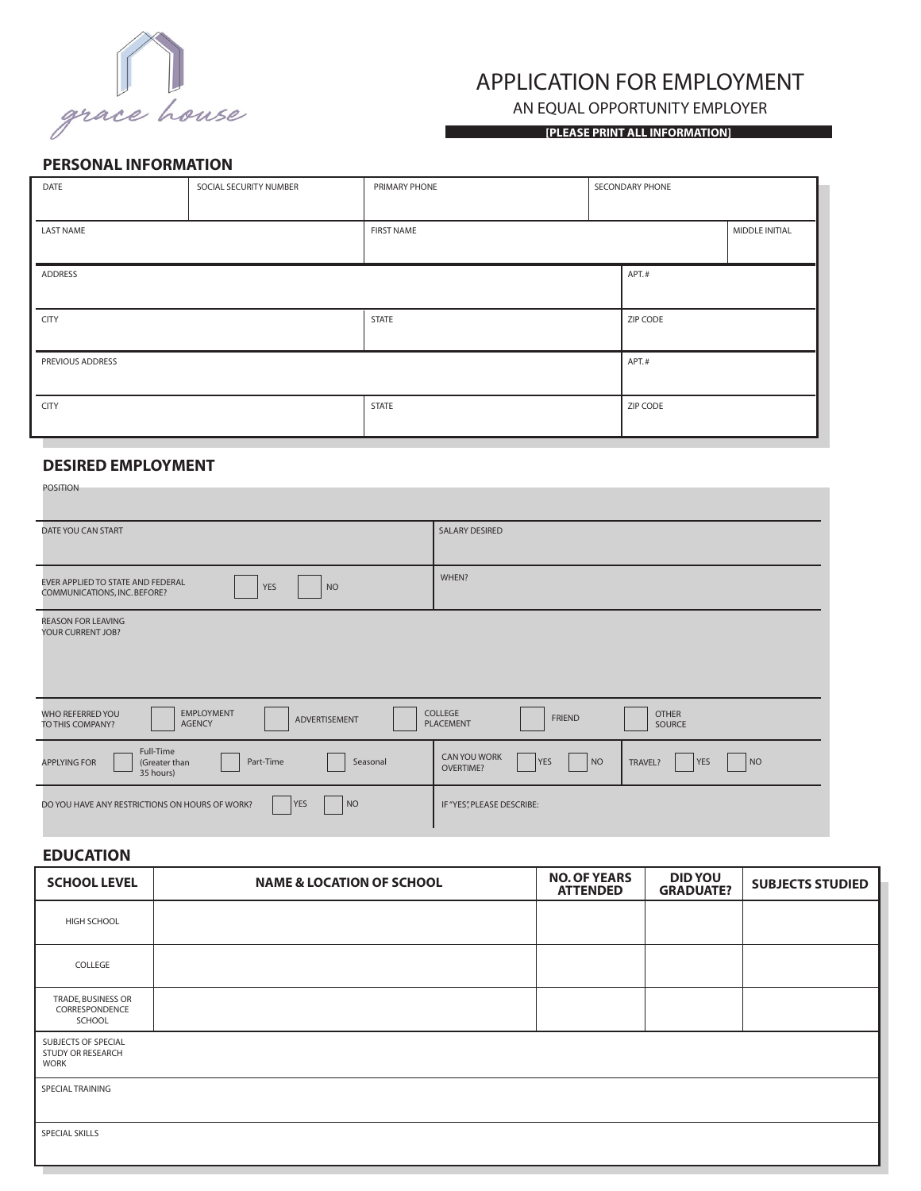

# APPLICATION FOR EMPLOYMENT

AN EQUAL OPPORTUNITY EMPLOYER

**[PLEASE PRINT ALL INFORMATION]**

#### **PERSONAL INFORMATION**

| DATE             | SOCIAL SECURITY NUMBER | PRIMARY PHONE     |  | SECONDARY PHONE |                |
|------------------|------------------------|-------------------|--|-----------------|----------------|
|                  |                        |                   |  |                 |                |
| LAST NAME        |                        | <b>FIRST NAME</b> |  |                 | MIDDLE INITIAL |
|                  |                        |                   |  |                 |                |
| ADDRESS          |                        | APT.#             |  |                 |                |
|                  |                        |                   |  |                 |                |
| <b>CITY</b>      |                        | <b>STATE</b>      |  | ZIP CODE        |                |
|                  |                        |                   |  |                 |                |
| PREVIOUS ADDRESS |                        |                   |  | APT.#           |                |
|                  |                        |                   |  |                 |                |
| <b>CITY</b>      |                        | <b>STATE</b>      |  | ZIP CODE        |                |
|                  |                        |                   |  |                 |                |

## **DESIRED EMPLOYMENT**

| <b>POSITION</b>                                                                                                                                                       |                                                                                       |  |  |  |
|-----------------------------------------------------------------------------------------------------------------------------------------------------------------------|---------------------------------------------------------------------------------------|--|--|--|
| DATE YOU CAN START                                                                                                                                                    | <b>SALARY DESIRED</b>                                                                 |  |  |  |
| EVER APPLIED TO STATE AND FEDERAL<br><b>YES</b><br><b>NO</b><br>COMMUNICATIONS, INC. BEFORE?                                                                          | WHEN?                                                                                 |  |  |  |
| <b>REASON FOR LEAVING</b><br>YOUR CURRENT JOB?                                                                                                                        |                                                                                       |  |  |  |
| <b>EMPLOYMENT</b><br>COLLEGE<br><b>OTHER</b><br><b>WHO REFERRED YOU</b><br><b>FRIEND</b><br>ADVERTISEMENT<br><b>AGENCY</b><br>PLACEMENT<br>SOURCE<br>TO THIS COMPANY? |                                                                                       |  |  |  |
| Full-Time<br>Part-Time<br>(Greater than<br>Seasonal<br><b>APPLYING FOR</b><br>35 hours)                                                                               | <b>CAN YOU WORK</b><br> NO<br> NO<br>YES<br><b>YES</b><br>TRAVEL?<br><b>OVERTIME?</b> |  |  |  |
| <b>YES</b><br>NO<br>DO YOU HAVE ANY RESTRICTIONS ON HOURS OF WORK?                                                                                                    | IF "YES", PLEASE DESCRIBE:                                                            |  |  |  |

## **EDUCATION**

| <b>SCHOOL LEVEL</b>                                     | <b>NAME &amp; LOCATION OF SCHOOL</b> | <b>NO. OF YEARS</b><br><b>ATTENDED</b> | <b>DID YOU</b><br><b>GRADUATE?</b> | <b>SUBJECTS STUDIED</b> |
|---------------------------------------------------------|--------------------------------------|----------------------------------------|------------------------------------|-------------------------|
| <b>HIGH SCHOOL</b>                                      |                                      |                                        |                                    |                         |
| COLLEGE                                                 |                                      |                                        |                                    |                         |
| TRADE, BUSINESS OR<br>CORRESPONDENCE<br>SCHOOL          |                                      |                                        |                                    |                         |
| SUBJECTS OF SPECIAL<br>STUDY OR RESEARCH<br><b>WORK</b> |                                      |                                        |                                    |                         |
| SPECIAL TRAINING                                        |                                      |                                        |                                    |                         |
| SPECIAL SKILLS                                          |                                      |                                        |                                    |                         |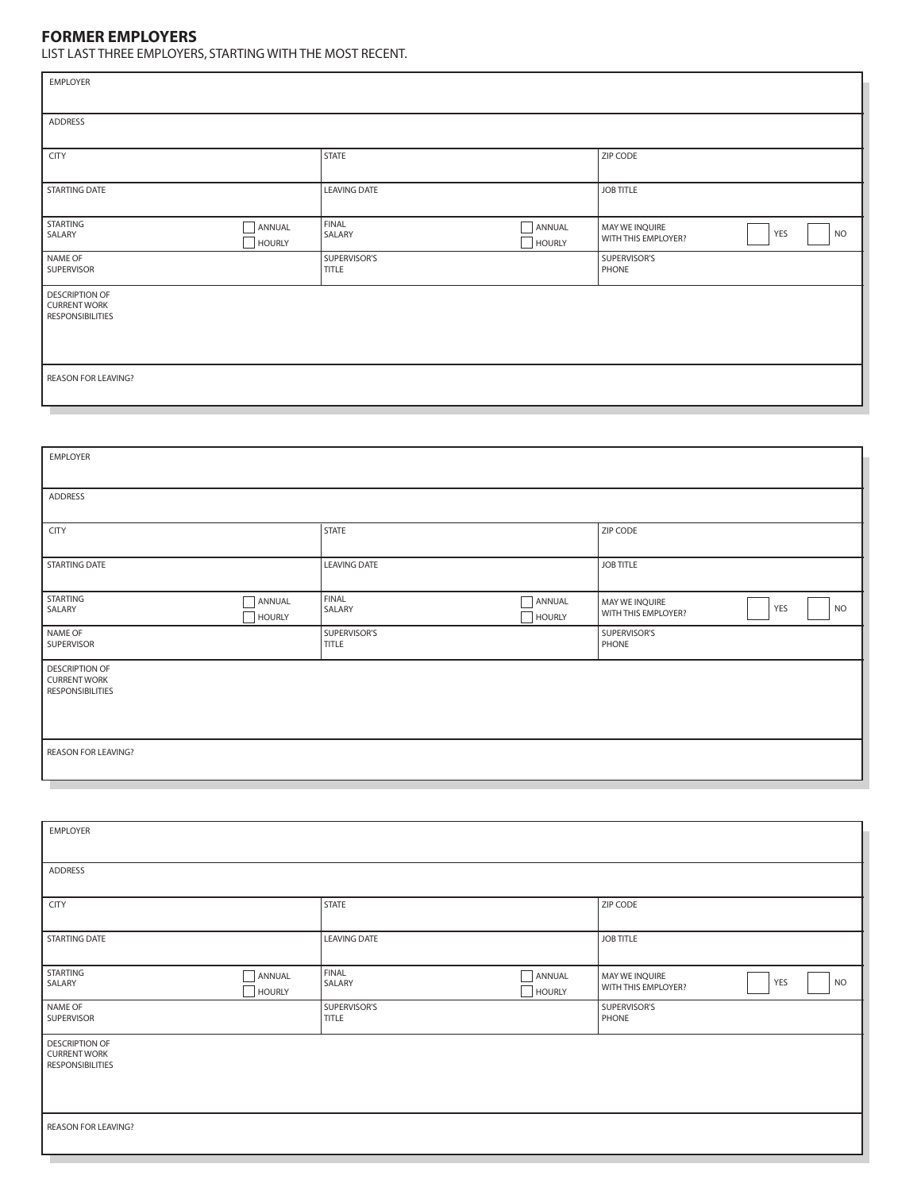## **FORMER EMPLOYERS**

LIST LAST THREE EMPLOYERS, STARTING WITH THE MOST RECENT.

| LIST LAST THREE EMPLOYERS, STARTING WITH THE MOST RECENT.               |                         |                              |                         |                                                           |  |  |
|-------------------------------------------------------------------------|-------------------------|------------------------------|-------------------------|-----------------------------------------------------------|--|--|
| EMPLOYER                                                                |                         |                              |                         |                                                           |  |  |
|                                                                         |                         |                              |                         |                                                           |  |  |
| <b>ADDRESS</b>                                                          |                         |                              |                         |                                                           |  |  |
| CITY                                                                    |                         | STATE                        |                         | ZIP CODE                                                  |  |  |
| STARTING DATE                                                           |                         | <b>LEAVING DATE</b>          |                         | <b>JOB TITLE</b>                                          |  |  |
|                                                                         |                         |                              |                         |                                                           |  |  |
| STARTING<br>SALARY                                                      | ANNUAL<br>HOURLY        | <b>FINAL</b><br>SALARY       | ANNUAL<br><b>HOURLY</b> | MAY WE INQUIRE<br>YES<br><b>NO</b><br>WITH THIS EMPLOYER? |  |  |
| NAME OF<br>SUPERVISOR                                                   |                         | SUPERVISOR'S<br><b>TITLE</b> |                         | SUPERVISOR'S<br>PHONE                                     |  |  |
| <b>DESCRIPTION OF</b><br><b>CURRENT WORK</b><br><b>RESPONSIBILITIES</b> |                         |                              |                         |                                                           |  |  |
| REASON FOR LEAVING?                                                     |                         |                              |                         |                                                           |  |  |
|                                                                         |                         |                              |                         |                                                           |  |  |
|                                                                         |                         |                              |                         |                                                           |  |  |
| <b>EMPLOYER</b>                                                         |                         |                              |                         |                                                           |  |  |
| ADDRESS                                                                 |                         |                              |                         |                                                           |  |  |
| <b>CITY</b>                                                             |                         | <b>STATE</b>                 |                         | ZIP CODE                                                  |  |  |
| <b>STARTING DATE</b>                                                    |                         | <b>LEAVING DATE</b>          |                         | <b>JOB TITLE</b>                                          |  |  |
| STARTING<br>SALARY                                                      | ANNUAL<br><b>HOURLY</b> | FINAL<br>SALARY              | ANNUAL<br><b>HOURLY</b> | MAY WE INQUIRE<br>YES<br><b>NO</b><br>WITH THIS EMPLOYER? |  |  |
| NAME OF<br>SUPERVISOR                                                   |                         | SUPERVISOR'S<br><b>TITLE</b> |                         | SUPERVISOR'S<br>PHONE                                     |  |  |
| <b>DESCRIPTION OF</b><br><b>CURRENT WORK</b><br>RESPONSIBILITIES        |                         |                              |                         |                                                           |  |  |
| REASON FOR LEAVING?                                                     |                         |                              |                         |                                                           |  |  |
|                                                                         |                         |                              |                         |                                                           |  |  |
| EMPLOYER                                                                |                         |                              |                         |                                                           |  |  |
| <b>ADDRESS</b>                                                          |                         |                              |                         |                                                           |  |  |
| <b>CITY</b>                                                             |                         | <b>STATE</b>                 |                         | ZIP CODE                                                  |  |  |
| <b>STARTING DATE</b>                                                    |                         | <b>LEAVING DATE</b>          |                         | <b>JOB TITLE</b>                                          |  |  |
| STARTING<br>SALARY                                                      | ANNUAL<br><b>HOURLY</b> | <b>FINAL</b><br>SALARY       | ANNUAL<br><b>HOURLY</b> | MAY WE INQUIRE<br>YES<br><b>NO</b><br>WITH THIS EMPLOYER? |  |  |
| NAME OF<br>SUPERVISOR                                                   |                         | SUPERVISOR'S<br><b>TITLE</b> |                         | SUPERVISOR'S<br>PHONE                                     |  |  |

| <b>DESCRIPTION OF</b>   |  |
|-------------------------|--|
| <b>CURRENT WORK</b>     |  |
| <b>RESPONSIBILITIES</b> |  |

REASON FOR LEAVING?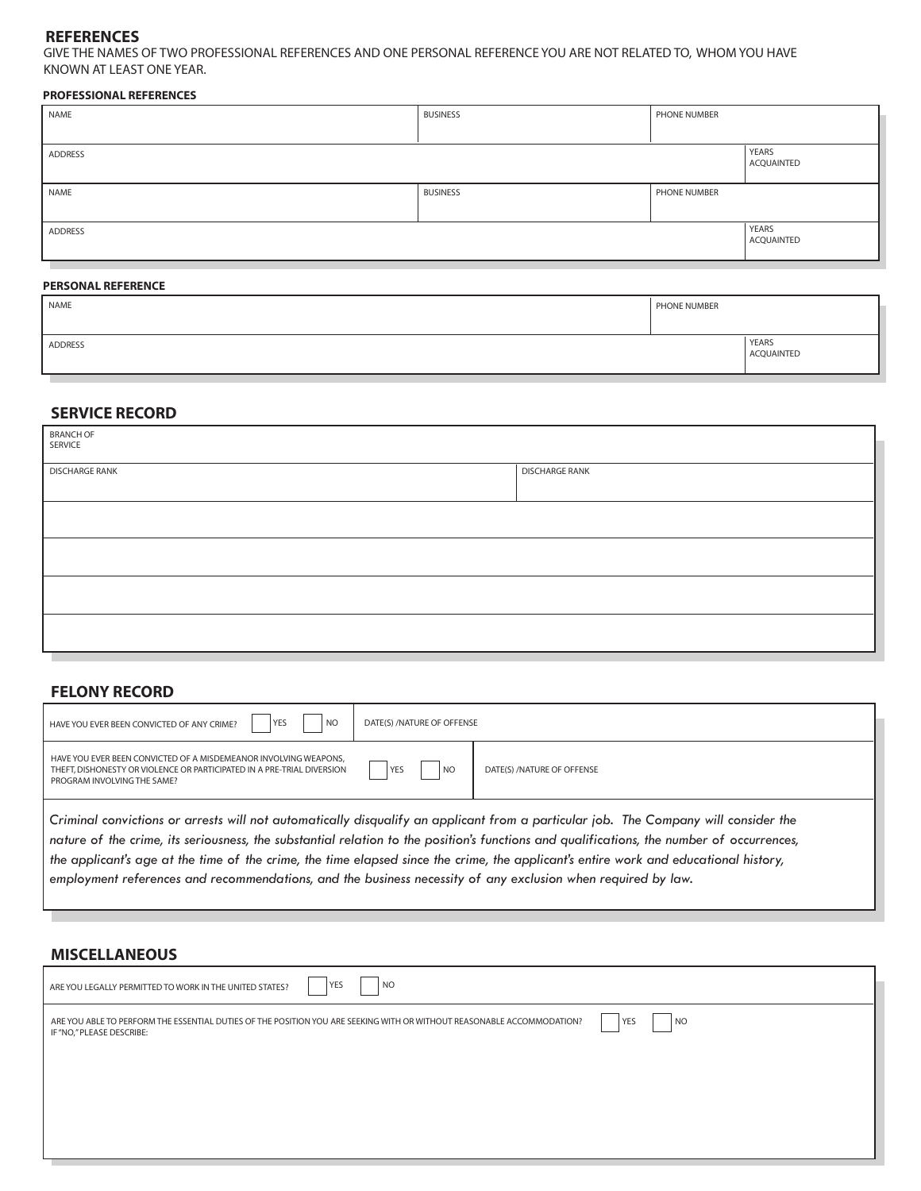#### **REFERENCES**

GIVE THE NAMES OF TWO PROFESSIONAL REFERENCES AND ONE PERSONAL REFERENCE YOU ARE NOT RELATED TO, WHOM YOU HAVE KNOWN AT LEAST ONE YEAR.

#### **PROFESSIONAL REFERENCES**

| NAME    | <b>BUSINESS</b> | PHONE NUMBER |                     |
|---------|-----------------|--------------|---------------------|
|         |                 |              |                     |
| ADDRESS |                 |              | YEARS<br>ACQUAINTED |
| NAME    | <b>BUSINESS</b> | PHONE NUMBER |                     |
| ADDRESS |                 |              | YEARS<br>ACQUAINTED |
|         |                 |              |                     |

#### **PERSONAL REFERENCE**

| NAME    | PHONE NUMBER |                     |
|---------|--------------|---------------------|
| ADDRESS |              | YEARS<br>ACQUAINTED |

### **SERVICE RECORD**

| BRANCH OF<br>SERVICE  |                       |
|-----------------------|-----------------------|
| <b>DISCHARGE RANK</b> | <b>DISCHARGE RANK</b> |
|                       |                       |
|                       |                       |
|                       |                       |
|                       |                       |

#### **FELONY RECORD**

| <b>YES</b><br>N <sub>O</sub><br>HAVE YOU EVER BEEN CONVICTED OF ANY CRIME?                                                                                                                                                                                                                                                                                                                                                                                                                                                               | DATE(S) / NATURE OF OFFENSE |                            |  |  |
|------------------------------------------------------------------------------------------------------------------------------------------------------------------------------------------------------------------------------------------------------------------------------------------------------------------------------------------------------------------------------------------------------------------------------------------------------------------------------------------------------------------------------------------|-----------------------------|----------------------------|--|--|
| HAVE YOU EVER BEEN CONVICTED OF A MISDEMEANOR INVOLVING WEAPONS.<br>THEFT. DISHONESTY OR VIOLENCE OR PARTICIPATED IN A PRE-TRIAL DIVERSION<br>PROGRAM INVOLVING THE SAME?                                                                                                                                                                                                                                                                                                                                                                | YES<br>N <sub>O</sub>       | DATE(S) /NATURE OF OFFENSE |  |  |
| Criminal convictions or arrests will not automatically disqualify an applicant from a particular job. The Company will consider the<br>nature of the crime, its seriousness, the substantial relation to the position's functions and qualifications, the number of occurrences,<br>the applicant's age at the time of the crime, the time elapsed since the crime, the applicant's entire work and educational history,<br>employment references and recommendations, and the business necessity of any exclusion when required by law. |                             |                            |  |  |

### **MISCELLANEOUS**

| <b>YES</b><br>  NO<br>ARE YOU LEGALLY PERMITTED TO WORK IN THE UNITED STATES?                                                                                           |  |
|-------------------------------------------------------------------------------------------------------------------------------------------------------------------------|--|
| ARE YOU ABLE TO PERFORM THE ESSENTIAL DUTIES OF THE POSITION YOU ARE SEEKING WITH OR WITHOUT REASONABLE ACCOMMODATION?<br><b>NO</b><br>YES<br>IF "NO," PLEASE DESCRIBE: |  |
|                                                                                                                                                                         |  |
|                                                                                                                                                                         |  |
|                                                                                                                                                                         |  |

L